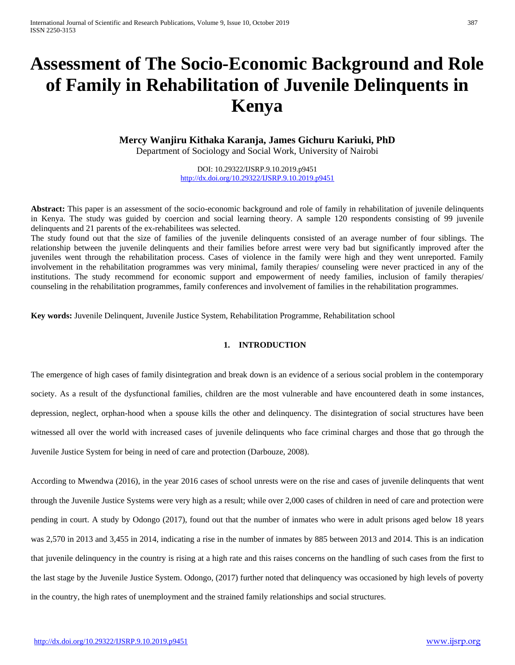# **Assessment of The Socio-Economic Background and Role of Family in Rehabilitation of Juvenile Delinquents in Kenya**

**Mercy Wanjiru Kithaka Karanja, James Gichuru Kariuki, PhD**

Department of Sociology and Social Work, University of Nairobi

DOI: 10.29322/IJSRP.9.10.2019.p9451 <http://dx.doi.org/10.29322/IJSRP.9.10.2019.p9451>

**Abstract:** This paper is an assessment of the socio-economic background and role of family in rehabilitation of juvenile delinquents in Kenya. The study was guided by coercion and social learning theory. A sample 120 respondents consisting of 99 juvenile delinquents and 21 parents of the ex-rehabilitees was selected.

The study found out that the size of families of the juvenile delinquents consisted of an average number of four siblings. The relationship between the juvenile delinquents and their families before arrest were very bad but significantly improved after the juveniles went through the rehabilitation process. Cases of violence in the family were high and they went unreported. Family involvement in the rehabilitation programmes was very minimal, family therapies/ counseling were never practiced in any of the institutions. The study recommend for economic support and empowerment of needy families, inclusion of family therapies/ counseling in the rehabilitation programmes, family conferences and involvement of families in the rehabilitation programmes.

**Key words:** Juvenile Delinquent, Juvenile Justice System, Rehabilitation Programme, Rehabilitation school

## **1. INTRODUCTION**

The emergence of high cases of family disintegration and break down is an evidence of a serious social problem in the contemporary society. As a result of the dysfunctional families, children are the most vulnerable and have encountered death in some instances, depression, neglect, orphan-hood when a spouse kills the other and delinquency. The disintegration of social structures have been witnessed all over the world with increased cases of juvenile delinquents who face criminal charges and those that go through the Juvenile Justice System for being in need of care and protection (Darbouze, 2008).

According to Mwendwa (2016), in the year 2016 cases of school unrests were on the rise and cases of juvenile delinquents that went through the Juvenile Justice Systems were very high as a result; while over 2,000 cases of children in need of care and protection were pending in court. A study by Odongo (2017), found out that the number of inmates who were in adult prisons aged below 18 years was 2,570 in 2013 and 3,455 in 2014, indicating a rise in the number of inmates by 885 between 2013 and 2014. This is an indication that juvenile delinquency in the country is rising at a high rate and this raises concerns on the handling of such cases from the first to the last stage by the Juvenile Justice System. Odongo, (2017) further noted that delinquency was occasioned by high levels of poverty in the country, the high rates of unemployment and the strained family relationships and social structures.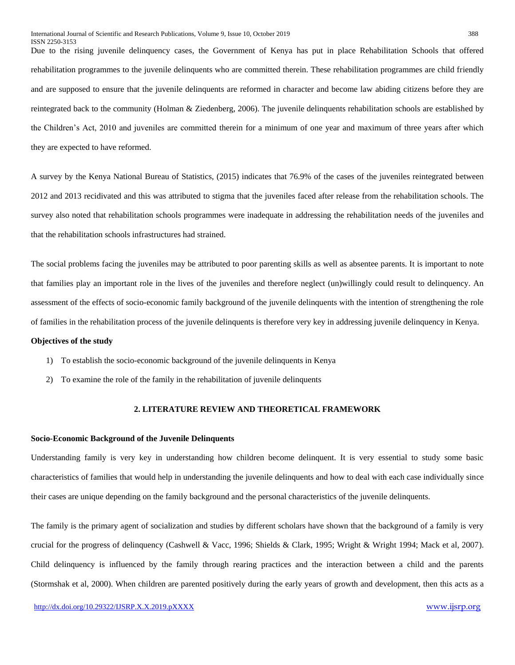Due to the rising juvenile delinquency cases, the Government of Kenya has put in place Rehabilitation Schools that offered rehabilitation programmes to the juvenile delinquents who are committed therein. These rehabilitation programmes are child friendly and are supposed to ensure that the juvenile delinquents are reformed in character and become law abiding citizens before they are reintegrated back to the community (Holman & Ziedenberg, 2006). The juvenile delinquents rehabilitation schools are established by the Children's Act, 2010 and juveniles are committed therein for a minimum of one year and maximum of three years after which they are expected to have reformed.

A survey by the Kenya National Bureau of Statistics, (2015) indicates that 76.9% of the cases of the juveniles reintegrated between 2012 and 2013 recidivated and this was attributed to stigma that the juveniles faced after release from the rehabilitation schools. The survey also noted that rehabilitation schools programmes were inadequate in addressing the rehabilitation needs of the juveniles and that the rehabilitation schools infrastructures had strained.

The social problems facing the juveniles may be attributed to poor parenting skills as well as absentee parents. It is important to note that families play an important role in the lives of the juveniles and therefore neglect (un)willingly could result to delinquency. An assessment of the effects of socio-economic family background of the juvenile delinquents with the intention of strengthening the role of families in the rehabilitation process of the juvenile delinquents is therefore very key in addressing juvenile delinquency in Kenya.

#### **Objectives of the study**

- 1) To establish the socio-economic background of the juvenile delinquents in Kenya
- 2) To examine the role of the family in the rehabilitation of juvenile delinquents

#### **2. LITERATURE REVIEW AND THEORETICAL FRAMEWORK**

#### **Socio-Economic Background of the Juvenile Delinquents**

Understanding family is very key in understanding how children become delinquent. It is very essential to study some basic characteristics of families that would help in understanding the juvenile delinquents and how to deal with each case individually since their cases are unique depending on the family background and the personal characteristics of the juvenile delinquents.

The family is the primary agent of socialization and studies by different scholars have shown that the background of a family is very crucial for the progress of delinquency (Cashwell & Vacc, 1996; Shields & Clark, 1995; Wright & Wright 1994; Mack et al, 2007). Child delinquency is influenced by the family through rearing practices and the interaction between a child and the parents (Stormshak et al, 2000). When children are parented positively during the early years of growth and development, then this acts as a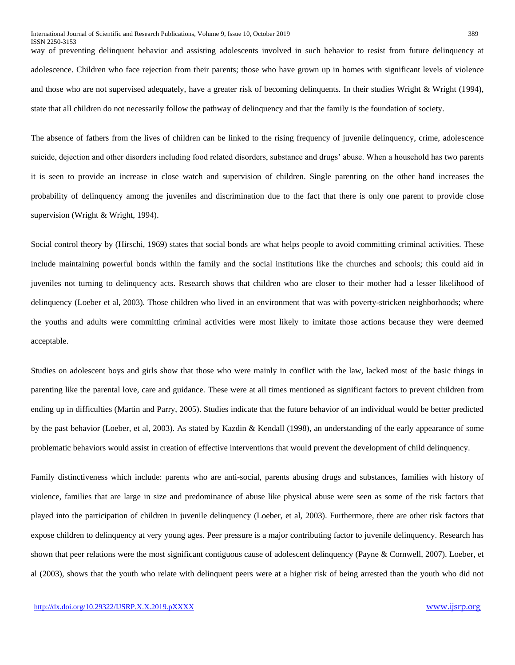way of preventing delinquent behavior and assisting adolescents involved in such behavior to resist from future delinquency at adolescence. Children who face rejection from their parents; those who have grown up in homes with significant levels of violence and those who are not supervised adequately, have a greater risk of becoming delinquents. In their studies Wright & Wright (1994), state that all children do not necessarily follow the pathway of delinquency and that the family is the foundation of society.

The absence of fathers from the lives of children can be linked to the rising frequency of juvenile delinquency, crime, adolescence suicide, dejection and other disorders including food related disorders, substance and drugs' abuse. When a household has two parents it is seen to provide an increase in close watch and supervision of children. Single parenting on the other hand increases the probability of delinquency among the juveniles and discrimination due to the fact that there is only one parent to provide close supervision (Wright & Wright, 1994).

Social control theory by (Hirschi, 1969) states that social bonds are what helps people to avoid committing criminal activities. These include maintaining powerful bonds within the family and the social institutions like the churches and schools; this could aid in juveniles not turning to delinquency acts. Research shows that children who are closer to their mother had a lesser likelihood of delinquency (Loeber et al, 2003). Those children who lived in an environment that was with poverty-stricken neighborhoods; where the youths and adults were committing criminal activities were most likely to imitate those actions because they were deemed acceptable.

Studies on adolescent boys and girls show that those who were mainly in conflict with the law, lacked most of the basic things in parenting like the parental love, care and guidance. These were at all times mentioned as significant factors to prevent children from ending up in difficulties (Martin and Parry, 2005). Studies indicate that the future behavior of an individual would be better predicted by the past behavior (Loeber, et al, 2003). As stated by Kazdin & Kendall (1998), an understanding of the early appearance of some problematic behaviors would assist in creation of effective interventions that would prevent the development of child delinquency.

Family distinctiveness which include: parents who are anti-social, parents abusing drugs and substances, families with history of violence, families that are large in size and predominance of abuse like physical abuse were seen as some of the risk factors that played into the participation of children in juvenile delinquency (Loeber, et al, 2003). Furthermore, there are other risk factors that expose children to delinquency at very young ages. Peer pressure is a major contributing factor to juvenile delinquency. Research has shown that peer relations were the most significant contiguous cause of adolescent delinquency (Payne & Cornwell, 2007). Loeber, et al (2003), shows that the youth who relate with delinquent peers were at a higher risk of being arrested than the youth who did not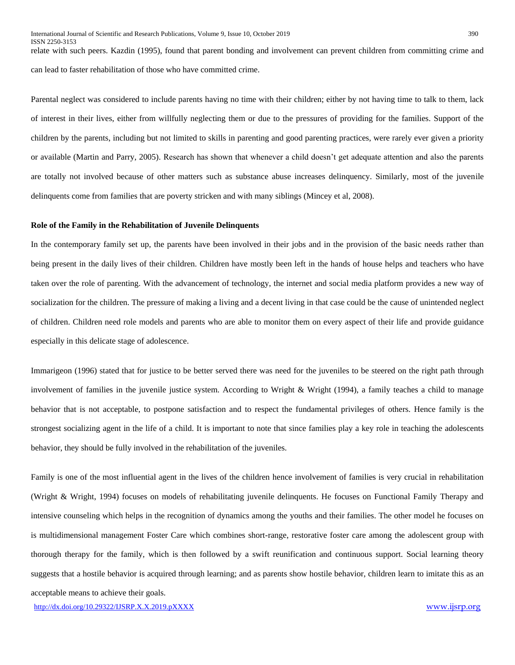ISSN 2250-3153 relate with such peers. Kazdin (1995), found that parent bonding and involvement can prevent children from committing crime and can lead to faster rehabilitation of those who have committed crime.

Parental neglect was considered to include parents having no time with their children; either by not having time to talk to them, lack of interest in their lives, either from willfully neglecting them or due to the pressures of providing for the families. Support of the children by the parents, including but not limited to skills in parenting and good parenting practices, were rarely ever given a priority or available (Martin and Parry, 2005). Research has shown that whenever a child doesn't get adequate attention and also the parents are totally not involved because of other matters such as substance abuse increases delinquency. Similarly, most of the juvenile delinquents come from families that are poverty stricken and with many siblings (Mincey et al, 2008).

#### **Role of the Family in the Rehabilitation of Juvenile Delinquents**

In the contemporary family set up, the parents have been involved in their jobs and in the provision of the basic needs rather than being present in the daily lives of their children. Children have mostly been left in the hands of house helps and teachers who have taken over the role of parenting. With the advancement of technology, the internet and social media platform provides a new way of socialization for the children. The pressure of making a living and a decent living in that case could be the cause of unintended neglect of children. Children need role models and parents who are able to monitor them on every aspect of their life and provide guidance especially in this delicate stage of adolescence.

Immarigeon (1996) stated that for justice to be better served there was need for the juveniles to be steered on the right path through involvement of families in the juvenile justice system. According to Wright & Wright (1994), a family teaches a child to manage behavior that is not acceptable, to postpone satisfaction and to respect the fundamental privileges of others. Hence family is the strongest socializing agent in the life of a child. It is important to note that since families play a key role in teaching the adolescents behavior, they should be fully involved in the rehabilitation of the juveniles.

Family is one of the most influential agent in the lives of the children hence involvement of families is very crucial in rehabilitation (Wright & Wright, 1994) focuses on models of rehabilitating juvenile delinquents. He focuses on Functional Family Therapy and intensive counseling which helps in the recognition of dynamics among the youths and their families. The other model he focuses on is multidimensional management Foster Care which combines short-range, restorative foster care among the adolescent group with thorough therapy for the family, which is then followed by a swift reunification and continuous support. Social learning theory suggests that a hostile behavior is acquired through learning; and as parents show hostile behavior, children learn to imitate this as an acceptable means to achieve their goals.

<http://dx.doi.org/10.29322/IJSRP.X.X.2019.pXXXX> [www.ijsrp.org](http://ijsrp.org/)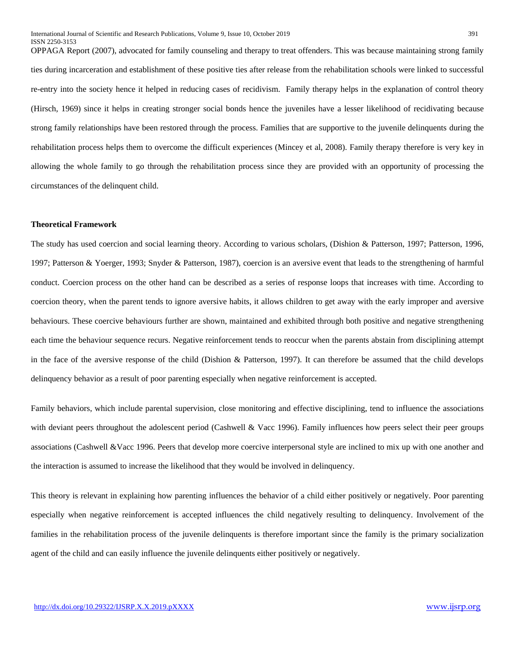OPPAGA Report (2007), advocated for family counseling and therapy to treat offenders. This was because maintaining strong family ties during incarceration and establishment of these positive ties after release from the rehabilitation schools were linked to successful re-entry into the society hence it helped in reducing cases of recidivism. Family therapy helps in the explanation of control theory (Hirsch, 1969) since it helps in creating stronger social bonds hence the juveniles have a lesser likelihood of recidivating because strong family relationships have been restored through the process. Families that are supportive to the juvenile delinquents during the rehabilitation process helps them to overcome the difficult experiences (Mincey et al, 2008). Family therapy therefore is very key in allowing the whole family to go through the rehabilitation process since they are provided with an opportunity of processing the circumstances of the delinquent child.

#### **Theoretical Framework**

The study has used coercion and social learning theory. According to various scholars, (Dishion & Patterson, 1997; Patterson, 1996, 1997; Patterson & Yoerger, 1993; Snyder & Patterson, 1987), coercion is an aversive event that leads to the strengthening of harmful conduct. Coercion process on the other hand can be described as a series of response loops that increases with time. According to coercion theory, when the parent tends to ignore aversive habits, it allows children to get away with the early improper and aversive behaviours. These coercive behaviours further are shown, maintained and exhibited through both positive and negative strengthening each time the behaviour sequence recurs. Negative reinforcement tends to reoccur when the parents abstain from disciplining attempt in the face of the aversive response of the child (Dishion & Patterson, 1997). It can therefore be assumed that the child develops delinquency behavior as a result of poor parenting especially when negative reinforcement is accepted.

Family behaviors, which include parental supervision, close monitoring and effective disciplining, tend to influence the associations with deviant peers throughout the adolescent period (Cashwell & Vacc 1996). Family influences how peers select their peer groups associations (Cashwell &Vacc 1996. Peers that develop more coercive interpersonal style are inclined to mix up with one another and the interaction is assumed to increase the likelihood that they would be involved in delinquency.

This theory is relevant in explaining how parenting influences the behavior of a child either positively or negatively. Poor parenting especially when negative reinforcement is accepted influences the child negatively resulting to delinquency. Involvement of the families in the rehabilitation process of the juvenile delinquents is therefore important since the family is the primary socialization agent of the child and can easily influence the juvenile delinquents either positively or negatively.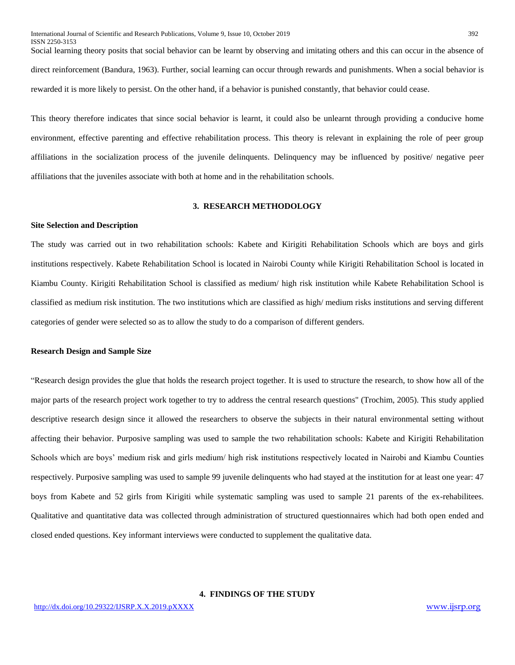Social learning theory posits that social behavior can be learnt by observing and imitating others and this can occur in the absence of direct reinforcement (Bandura, 1963). Further, social learning can occur through rewards and punishments. When a social behavior is rewarded it is more likely to persist. On the other hand, if a behavior is punished constantly, that behavior could cease.

This theory therefore indicates that since social behavior is learnt, it could also be unlearnt through providing a conducive home environment, effective parenting and effective rehabilitation process. This theory is relevant in explaining the role of peer group affiliations in the socialization process of the juvenile delinquents. Delinquency may be influenced by positive/ negative peer affiliations that the juveniles associate with both at home and in the rehabilitation schools.

#### **3. RESEARCH METHODOLOGY**

#### **Site Selection and Description**

The study was carried out in two rehabilitation schools: Kabete and Kirigiti Rehabilitation Schools which are boys and girls institutions respectively. Kabete Rehabilitation School is located in Nairobi County while Kirigiti Rehabilitation School is located in Kiambu County. Kirigiti Rehabilitation School is classified as medium/ high risk institution while Kabete Rehabilitation School is classified as medium risk institution. The two institutions which are classified as high/ medium risks institutions and serving different categories of gender were selected so as to allow the study to do a comparison of different genders.

#### **Research Design and Sample Size**

"Research design provides the glue that holds the research project together. It is used to structure the research, to show how all of the major parts of the research project work together to try to address the central research questions" (Trochim, 2005). This study applied descriptive research design since it allowed the researchers to observe the subjects in their natural environmental setting without affecting their behavior. Purposive sampling was used to sample the two rehabilitation schools: Kabete and Kirigiti Rehabilitation Schools which are boys' medium risk and girls medium/ high risk institutions respectively located in Nairobi and Kiambu Counties respectively. Purposive sampling was used to sample 99 juvenile delinquents who had stayed at the institution for at least one year: 47 boys from Kabete and 52 girls from Kirigiti while systematic sampling was used to sample 21 parents of the ex-rehabilitees. Qualitative and quantitative data was collected through administration of structured questionnaires which had both open ended and closed ended questions. Key informant interviews were conducted to supplement the qualitative data.

#### **4. FINDINGS OF THE STUDY**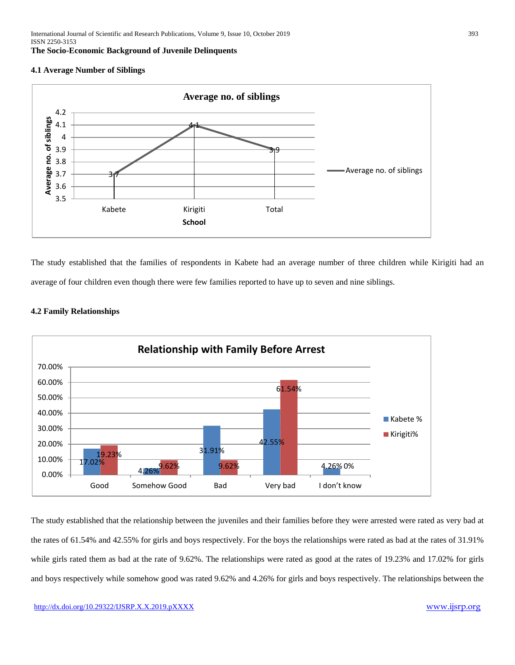## **4.1 Average Number of Siblings**



The study established that the families of respondents in Kabete had an average number of three children while Kirigiti had an average of four children even though there were few families reported to have up to seven and nine siblings.



## **4.2 Family Relationships**

The study established that the relationship between the juveniles and their families before they were arrested were rated as very bad at the rates of 61.54% and 42.55% for girls and boys respectively. For the boys the relationships were rated as bad at the rates of 31.91% while girls rated them as bad at the rate of 9.62%. The relationships were rated as good at the rates of 19.23% and 17.02% for girls and boys respectively while somehow good was rated 9.62% and 4.26% for girls and boys respectively. The relationships between the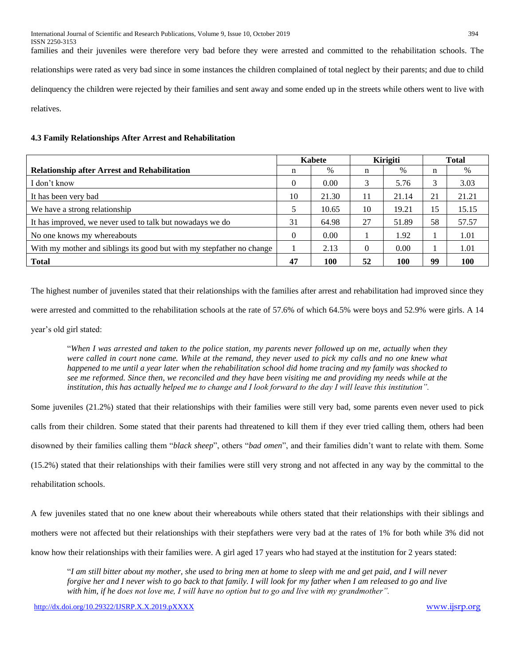families and their juveniles were therefore very bad before they were arrested and committed to the rehabilitation schools. The relationships were rated as very bad since in some instances the children complained of total neglect by their parents; and due to child delinquency the children were rejected by their families and sent away and some ended up in the streets while others went to live with relatives.

## **4.3 Family Relationships After Arrest and Rehabilitation**

|                                                                       | Kabete   |       | Kirigiti |       | <b>Total</b> |            |
|-----------------------------------------------------------------------|----------|-------|----------|-------|--------------|------------|
| <b>Relationship after Arrest and Rehabilitation</b>                   | n        | $\%$  | n        | $\%$  | n            | $\%$       |
| I don't know                                                          | $\Omega$ | 0.00  | 3        | 5.76  | 3            | 3.03       |
| It has been very bad                                                  | 10       | 21.30 |          | 21.14 | 21           | 21.21      |
| We have a strong relationship                                         |          | 10.65 | 10       | 19.21 | 15           | 15.15      |
| It has improved, we never used to talk but nowadays we do             | 31       | 64.98 | 27       | 51.89 | 58           | 57.57      |
| No one knows my whereabouts                                           | $\Omega$ | 0.00  |          | 1.92  |              | 1.01       |
| With my mother and siblings its good but with my stepfather no change |          | 2.13  | $\theta$ | 0.00  |              | 1.01       |
| <b>Total</b>                                                          | 47       | 100   | 52       | 100   | 99           | <b>100</b> |

The highest number of juveniles stated that their relationships with the families after arrest and rehabilitation had improved since they were arrested and committed to the rehabilitation schools at the rate of 57.6% of which 64.5% were boys and 52.9% were girls. A 14

year's old girl stated:

"*When I was arrested and taken to the police station, my parents never followed up on me, actually when they were called in court none came. While at the remand, they never used to pick my calls and no one knew what happened to me until a year later when the rehabilitation school did home tracing and my family was shocked to see me reformed. Since then, we reconciled and they have been visiting me and providing my needs while at the institution, this has actually helped me to change and I look forward to the day I will leave this institution"*.

Some juveniles (21.2%) stated that their relationships with their families were still very bad, some parents even never used to pick calls from their children. Some stated that their parents had threatened to kill them if they ever tried calling them, others had been disowned by their families calling them "*black sheep*", others "*bad omen*", and their families didn't want to relate with them. Some (15.2%) stated that their relationships with their families were still very strong and not affected in any way by the committal to the rehabilitation schools.

A few juveniles stated that no one knew about their whereabouts while others stated that their relationships with their siblings and mothers were not affected but their relationships with their stepfathers were very bad at the rates of 1% for both while 3% did not know how their relationships with their families were. A girl aged 17 years who had stayed at the institution for 2 years stated:

"*I am still bitter about my mother, she used to bring men at home to sleep with me and get paid, and I will never forgive her and I never wish to go back to that family. I will look for my father when I am released to go and live with him, if he does not love me, I will have no option but to go and live with my grandmother".*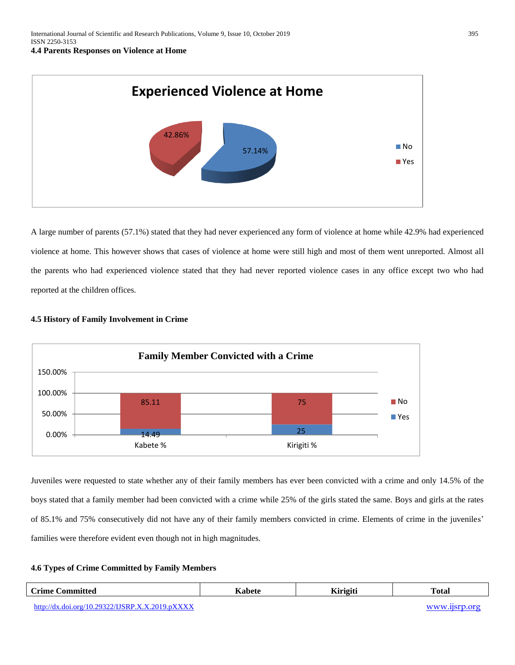

A large number of parents (57.1%) stated that they had never experienced any form of violence at home while 42.9% had experienced violence at home. This however shows that cases of violence at home were still high and most of them went unreported. Almost all the parents who had experienced violence stated that they had never reported violence cases in any office except two who had reported at the children offices.

# **4.5 History of Family Involvement in Crime**



Juveniles were requested to state whether any of their family members has ever been convicted with a crime and only 14.5% of the boys stated that a family member had been convicted with a crime while 25% of the girls stated the same. Boys and girls at the rates of 85.1% and 75% consecutively did not have any of their family members convicted in crime. Elements of crime in the juveniles' families were therefore evident even though not in high magnitudes.

# **4.6 Types of Crime Committed by Family Members**

| <b>Crime Committed</b>                          | Kabete | <b>Kirigiti</b> | <b>Total</b> |
|-------------------------------------------------|--------|-----------------|--------------|
| http://dx.doi.org/10.29322/IJSRP.X.X.2019.pXXXX |        |                 |              |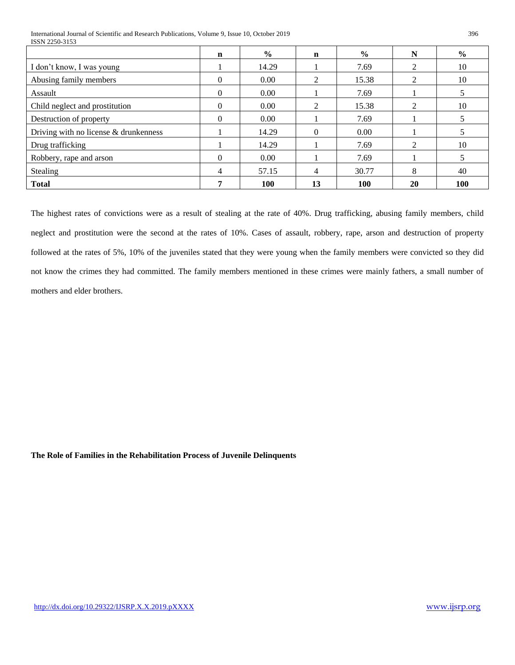International Journal of Scientific and Research Publications, Volume 9, Issue 10, October 2019 396 ISSN 2250-3153

|                                         | $\mathbf n$ | $\frac{0}{0}$ | n              | $\frac{0}{0}$ | N              | $\frac{0}{0}$ |
|-----------------------------------------|-------------|---------------|----------------|---------------|----------------|---------------|
| I don't know, I was young               |             | 14.29         |                | 7.69          | 2              | 10            |
| Abusing family members                  | $\Omega$    | 0.00          | $\mathcal{D}$  | 15.38         | 2              | 10            |
| Assault                                 | $\Omega$    | 0.00          |                | 7.69          |                |               |
| Child neglect and prostitution          | $\Omega$    | 0.00          | $\mathfrak{D}$ | 15.38         | $\mathfrak{D}$ | 10            |
| Destruction of property                 | $\Omega$    | 0.00          |                | 7.69          |                |               |
| Driving with no license $&$ drunkenness |             | 14.29         | $\Omega$       | 0.00          |                |               |
| Drug trafficking                        |             | 14.29         |                | 7.69          | $\mathfrak{D}$ | 10            |
| Robbery, rape and arson                 | $\Omega$    | 0.00          |                | 7.69          |                |               |
| Stealing                                | 4           | 57.15         | 4              | 30.77         | 8              | 40            |
| <b>Total</b>                            |             | <b>100</b>    | 13             | 100           | 20             | <b>100</b>    |

The highest rates of convictions were as a result of stealing at the rate of 40%. Drug trafficking, abusing family members, child neglect and prostitution were the second at the rates of 10%. Cases of assault, robbery, rape, arson and destruction of property followed at the rates of 5%, 10% of the juveniles stated that they were young when the family members were convicted so they did not know the crimes they had committed. The family members mentioned in these crimes were mainly fathers, a small number of mothers and elder brothers.

**The Role of Families in the Rehabilitation Process of Juvenile Delinquents**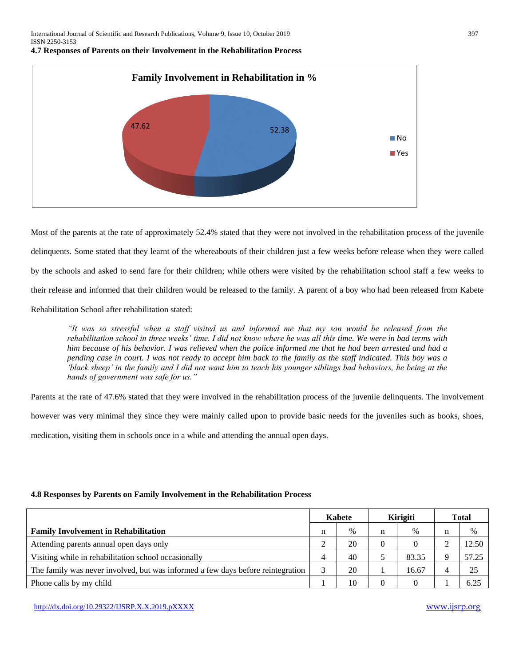International Journal of Scientific and Research Publications, Volume 9, Issue 10, October 2019 397 ISSN 2250-3153

#### **4.7 Responses of Parents on their Involvement in the Rehabilitation Process**



Most of the parents at the rate of approximately 52.4% stated that they were not involved in the rehabilitation process of the juvenile delinquents. Some stated that they learnt of the whereabouts of their children just a few weeks before release when they were called by the schools and asked to send fare for their children; while others were visited by the rehabilitation school staff a few weeks to their release and informed that their children would be released to the family. A parent of a boy who had been released from Kabete

Rehabilitation School after rehabilitation stated:

*"It was so stressful when a staff visited us and informed me that my son would be released from the rehabilitation school in three weeks' time. I did not know where he was all this time. We were in bad terms with him because of his behavior. I was relieved when the police informed me that he had been arrested and had a pending case in court. I was not ready to accept him back to the family as the staff indicated. This boy was a 'black sheep' in the family and I did not want him to teach his younger siblings bad behaviors, he being at the hands of government was safe for us."*

Parents at the rate of 47.6% stated that they were involved in the rehabilitation process of the juvenile delinquents. The involvement however was very minimal they since they were mainly called upon to provide basic needs for the juveniles such as books, shoes, medication, visiting them in schools once in a while and attending the annual open days.

## **4.8 Responses by Parents on Family Involvement in the Rehabilitation Process**

|                                                                                 | Kabete |    | <b>Kirigiti</b> |       | <b>Total</b> |       |
|---------------------------------------------------------------------------------|--------|----|-----------------|-------|--------------|-------|
| <b>Family Involvement in Rehabilitation</b>                                     | n      | %  |                 | $\%$  | n            | $\%$  |
| Attending parents annual open days only                                         |        | 20 |                 |       |              | 12.50 |
| Visiting while in rehabilitation school occasionally                            |        | 40 |                 | 83.35 |              | 57.25 |
| The family was never involved, but was informed a few days before reintegration |        | 20 |                 | 16.67 |              | 25    |
| Phone calls by my child                                                         |        | 10 |                 |       |              | 6.25  |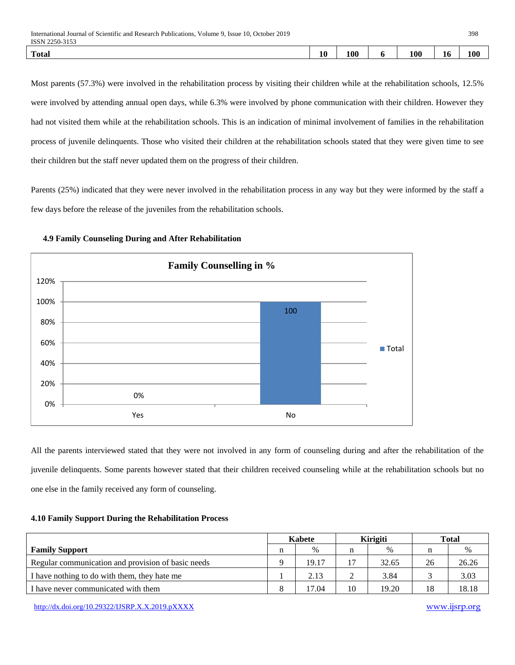| International Journal of Scientific and Research Publications, Volume 9, Issue 10, October 2019 | 398 |     |  |     |    |     |  |
|-------------------------------------------------------------------------------------------------|-----|-----|--|-----|----|-----|--|
| ISSN 2250-3153                                                                                  |     |     |  |     |    |     |  |
| <b>Total</b>                                                                                    | 10  | 100 |  | 100 | 10 | 100 |  |

Most parents (57.3%) were involved in the rehabilitation process by visiting their children while at the rehabilitation schools, 12.5% were involved by attending annual open days, while 6.3% were involved by phone communication with their children. However they had not visited them while at the rehabilitation schools. This is an indication of minimal involvement of families in the rehabilitation process of juvenile delinquents. Those who visited their children at the rehabilitation schools stated that they were given time to see their children but the staff never updated them on the progress of their children.

Parents (25%) indicated that they were never involved in the rehabilitation process in any way but they were informed by the staff a few days before the release of the juveniles from the rehabilitation schools.



## **4.9 Family Counseling During and After Rehabilitation**

All the parents interviewed stated that they were not involved in any form of counseling during and after the rehabilitation of the juvenile delinquents. Some parents however stated that their children received counseling while at the rehabilitation schools but no one else in the family received any form of counseling.

## **4.10 Family Support During the Rehabilitation Process**

|                                                    | <b>Kabete</b> |       |    | <b>Kirigiti</b> | <b>Total</b> |       |
|----------------------------------------------------|---------------|-------|----|-----------------|--------------|-------|
| <b>Family Support</b>                              | n             | $\%$  |    | $\%$            | n            | %     |
| Regular communication and provision of basic needs |               | 19.17 |    | 32.65           | 26           | 26.26 |
| I have nothing to do with them, they hate me       |               | 2.13  |    | 3.84            |              | 3.03  |
| I have never communicated with them                |               | 17.04 | 10 | 19.20           | 18           | 18.18 |

<http://dx.doi.org/10.29322/IJSRP.X.X.2019.pXXXX> [www.ijsrp.org](http://ijsrp.org/)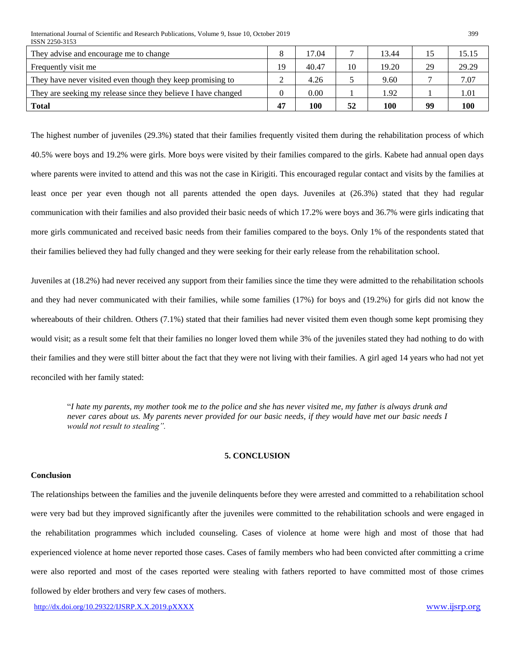International Journal of Scientific and Research Publications, Volume 9, Issue 10, October 2019 399 ISSN 2250-3153

| They advise and encourage me to change                        |    | 17.04 |    | 13.44 | 15 | 15.15 |
|---------------------------------------------------------------|----|-------|----|-------|----|-------|
| Frequently visit me                                           | 19 | 40.47 | 10 | 19.20 | 29 | 29.29 |
| They have never visited even though they keep promising to    |    | 4.26  |    | 9.60  |    | 7.07  |
| They are seeking my release since they believe I have changed |    | 0.00  |    | 1.92  |    | 1.01  |
| <b>Total</b>                                                  | 47 | 100   | 52 | 100   | 99 | 100   |

The highest number of juveniles (29.3%) stated that their families frequently visited them during the rehabilitation process of which 40.5% were boys and 19.2% were girls. More boys were visited by their families compared to the girls. Kabete had annual open days where parents were invited to attend and this was not the case in Kirigiti. This encouraged regular contact and visits by the families at least once per year even though not all parents attended the open days. Juveniles at (26.3%) stated that they had regular communication with their families and also provided their basic needs of which 17.2% were boys and 36.7% were girls indicating that more girls communicated and received basic needs from their families compared to the boys. Only 1% of the respondents stated that their families believed they had fully changed and they were seeking for their early release from the rehabilitation school.

Juveniles at (18.2%) had never received any support from their families since the time they were admitted to the rehabilitation schools and they had never communicated with their families, while some families (17%) for boys and (19.2%) for girls did not know the whereabouts of their children. Others (7.1%) stated that their families had never visited them even though some kept promising they would visit; as a result some felt that their families no longer loved them while 3% of the juveniles stated they had nothing to do with their families and they were still bitter about the fact that they were not living with their families. A girl aged 14 years who had not yet reconciled with her family stated:

"*I hate my parents, my mother took me to the police and she has never visited me, my father is always drunk and never cares about us. My parents never provided for our basic needs, if they would have met our basic needs I would not result to stealing".*

## **5. CONCLUSION**

## **Conclusion**

The relationships between the families and the juvenile delinquents before they were arrested and committed to a rehabilitation school were very bad but they improved significantly after the juveniles were committed to the rehabilitation schools and were engaged in the rehabilitation programmes which included counseling. Cases of violence at home were high and most of those that had experienced violence at home never reported those cases. Cases of family members who had been convicted after committing a crime were also reported and most of the cases reported were stealing with fathers reported to have committed most of those crimes followed by elder brothers and very few cases of mothers.

<http://dx.doi.org/10.29322/IJSRP.X.X.2019.pXXXX> [www.ijsrp.org](http://ijsrp.org/)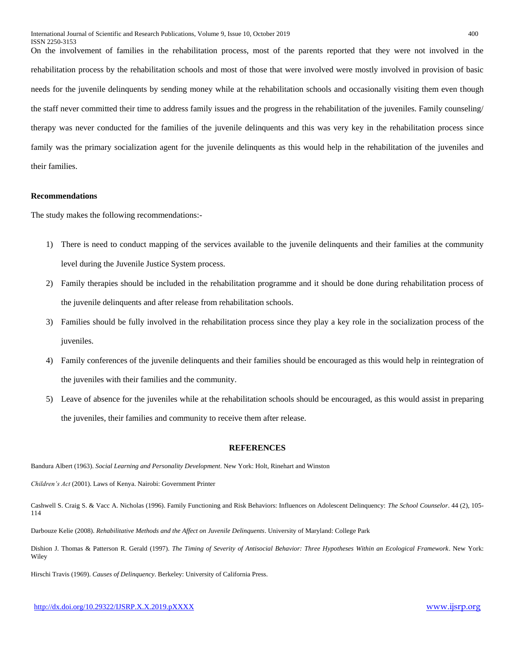On the involvement of families in the rehabilitation process, most of the parents reported that they were not involved in the rehabilitation process by the rehabilitation schools and most of those that were involved were mostly involved in provision of basic needs for the juvenile delinquents by sending money while at the rehabilitation schools and occasionally visiting them even though the staff never committed their time to address family issues and the progress in the rehabilitation of the juveniles. Family counseling/ therapy was never conducted for the families of the juvenile delinquents and this was very key in the rehabilitation process since family was the primary socialization agent for the juvenile delinquents as this would help in the rehabilitation of the juveniles and their families.

#### **Recommendations**

The study makes the following recommendations:-

- 1) There is need to conduct mapping of the services available to the juvenile delinquents and their families at the community level during the Juvenile Justice System process.
- 2) Family therapies should be included in the rehabilitation programme and it should be done during rehabilitation process of the juvenile delinquents and after release from rehabilitation schools.
- 3) Families should be fully involved in the rehabilitation process since they play a key role in the socialization process of the juveniles.
- 4) Family conferences of the juvenile delinquents and their families should be encouraged as this would help in reintegration of the juveniles with their families and the community.
- 5) Leave of absence for the juveniles while at the rehabilitation schools should be encouraged, as this would assist in preparing the juveniles, their families and community to receive them after release.

## **REFERENCES**

Bandura Albert (1963). *Social Learning and Personality Development*. New York: Holt, Rinehart and Winston

*Children's Act* (2001). Laws of Kenya. Nairobi: Government Printer

Cashwell S. Craig S. & Vacc A. Nicholas (1996). Family Functioning and Risk Behaviors: Influences on Adolescent Delinquency: *The School Counselor*. 44 (2), 105- 114

Darbouze Kelie (2008). *Rehabilitative Methods and the Affect on Juvenile Delinquents*. University of Maryland: College Park

Dishion J. Thomas & Patterson R. Gerald (1997). *The Timing of Severity of Antisocial Behavior: Three Hypotheses Within an Ecological Framework*. New York: **Wiley** 

Hirschi Travis (1969). *Causes of Delinquency*. Berkeley: University of California Press.